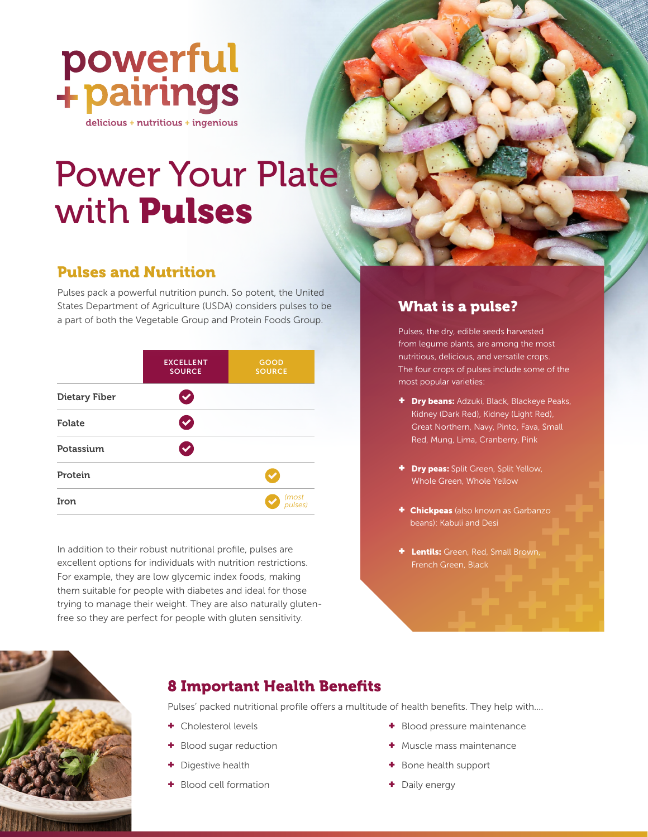

# Power Your Plate with Pulses

# Pulses and Nutrition

Pulses pack a powerful nutrition punch. So potent, the United States Department of Agriculture (USDA) considers pulses to be a part of both the Vegetable Group and Protein Foods Group.

|                      | <b>EXCELLENT</b><br><b>SOURCE</b> | GOOD<br><b>SOURCE</b> |
|----------------------|-----------------------------------|-----------------------|
| <b>Dietary Fiber</b> |                                   |                       |
| Folate               |                                   |                       |
| Potassium            |                                   |                       |
| Protein              |                                   |                       |
| Iron                 |                                   | (most<br>pulses)      |

In addition to their robust nutritional profile, pulses are excellent options for individuals with nutrition restrictions. For example, they are low glycemic index foods, making them suitable for people with diabetes and ideal for those trying to manage their weight. They are also naturally glutenfree so they are perfect for people with gluten sensitivity.

# What is a pulse?

Pulses, the dry, edible seeds harvested from legume plants, are among the most nutritious, delicious, and versatile crops. The four crops of pulses include some of the most popular varieties:

- + Dry beans: Adzuki, Black, Blackeye Peaks, Kidney (Dark Red), Kidney (Light Red), Great Northern, Navy, Pinto, Fava, Small Red, Mung, Lima, Cranberry, Pink
- + Dry peas: Split Green, Split Yellow, Whole Green, Whole Yellow
- + Chickpeas (also known as Garbanzo beans): Kabuli and Desi
- + Lentils: Green, Red, Small Brown, French Green, Black



# 8 Important Health Benefits

Pulses' packed nutritional profile offers a multitude of health benefits. They help with….

- + Cholesterol levels
- + Blood sugar reduction
- + Digestive health
- + Blood cell formation
- + Blood pressure maintenance
- + Muscle mass maintenance
- + Bone health support
- + Daily energy